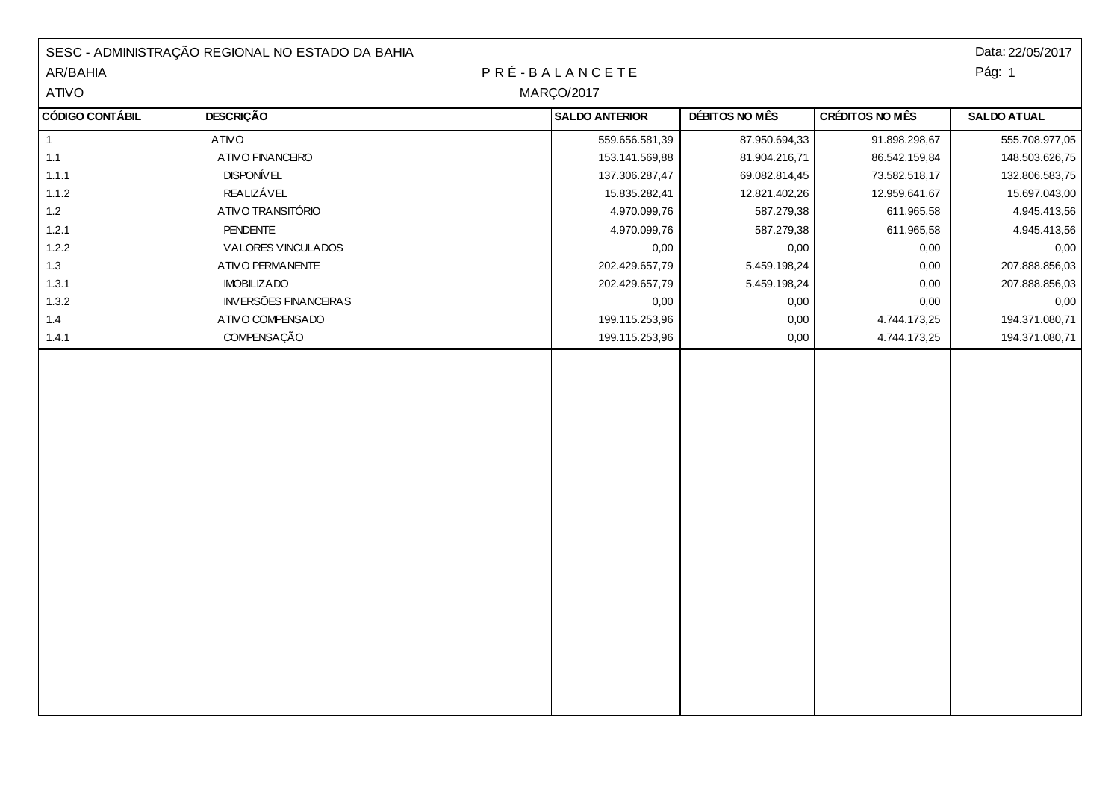|                        | SESC - ADMINISTRAÇÃO REGIONAL NO ESTADO DA BAHIA |                       |                |                        | Data: 22/05/2017   |
|------------------------|--------------------------------------------------|-----------------------|----------------|------------------------|--------------------|
| AR/BAHIA               |                                                  | PRÉ-BALANCETE         |                |                        | Pág: 1             |
| ATIVO                  |                                                  | <b>MARÇO/2017</b>     |                |                        |                    |
| <b>CÓDIGO CONTÁBIL</b> | <b>DESCRIÇÃO</b>                                 | <b>SALDO ANTERIOR</b> | DÉBITOS NO MÊS | <b>CRÉDITOS NO MÊS</b> | <b>SALDO ATUAL</b> |
| $\mathbf{1}$           | <b>ATIVO</b>                                     | 559.656.581,39        | 87.950.694,33  | 91.898.298,67          | 555.708.977,05     |
| 1.1                    | ATIVO FINANCEIRO                                 | 153.141.569,88        | 81.904.216,71  | 86.542.159,84          | 148.503.626,75     |
| 1.1.1                  | <b>DISPONÍVEL</b>                                | 137.306.287,47        | 69.082.814,45  | 73.582.518,17          | 132.806.583,75     |
| 1.1.2                  | <b>REALIZÁVEL</b>                                | 15.835.282,41         | 12.821.402,26  | 12.959.641,67          | 15.697.043,00      |
| $1.2$                  | ATIVO TRANSITÓRIO                                | 4.970.099,76          | 587.279,38     | 611.965,58             | 4.945.413,56       |
| 1.2.1                  | <b>PENDENTE</b>                                  | 4.970.099,76          | 587.279,38     | 611.965,58             | 4.945.413,56       |
| 1.2.2                  | VALORES VINCULADOS                               | 0,00                  | 0,00           | 0,00                   | 0,00               |
| 1.3                    | ATIVO PERMANENTE                                 | 202.429.657,79        | 5.459.198,24   | 0,00                   | 207.888.856,03     |
| 1.3.1                  | <b>IMOBILIZADO</b>                               | 202.429.657,79        | 5.459.198,24   | 0,00                   | 207.888.856,03     |
| 1.3.2                  | <b>INVERSÕES FINANCEIRAS</b>                     | 0,00                  | 0,00           | 0,00                   | 0,00               |
| 1.4                    | ATIVO COMPENSADO                                 | 199.115.253,96        | 0,00           | 4.744.173,25           | 194.371.080,71     |
| 1.4.1                  | COMPENSAÇÃO                                      | 199.115.253,96        | 0,00           | 4.744.173,25           | 194.371.080,71     |
|                        |                                                  |                       |                |                        |                    |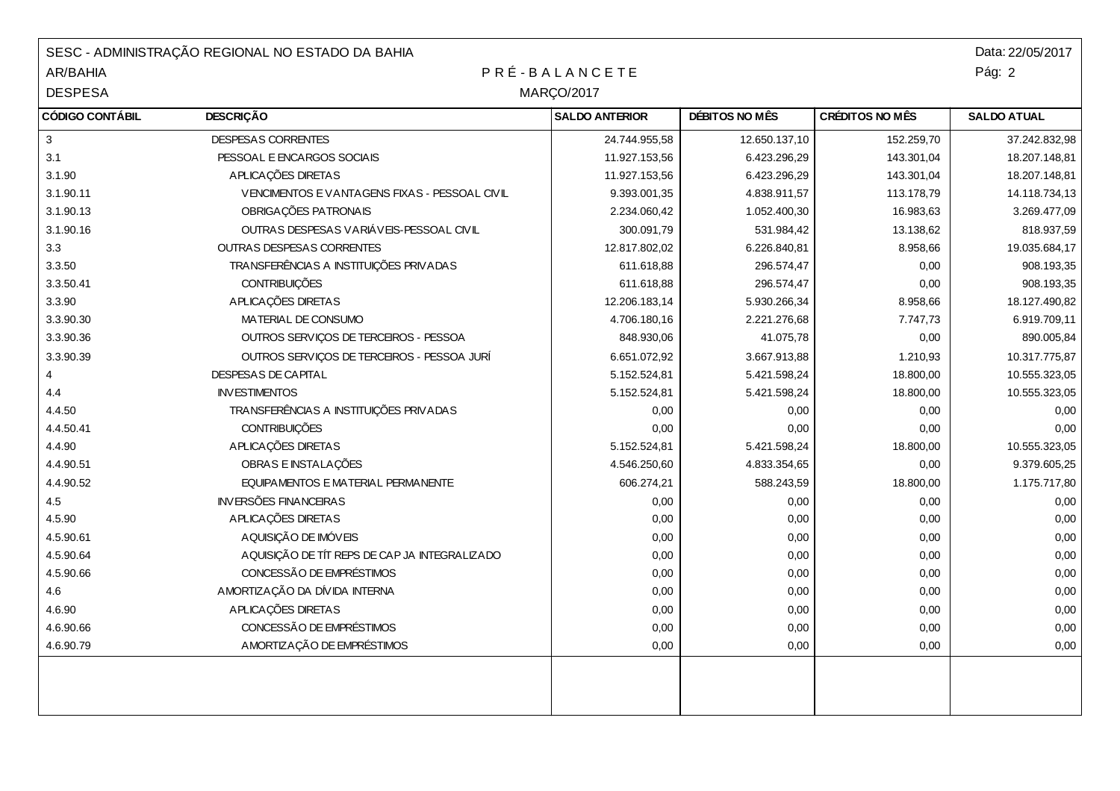| SESC - ADMINISTRAÇÃO REGIONAL NO ESTADO DA BAHIA |                                               |                       |                | Data: 22/05/2017       |                    |
|--------------------------------------------------|-----------------------------------------------|-----------------------|----------------|------------------------|--------------------|
| <b>AR/BAHIA</b>                                  | PRÉ-BALANCETE                                 |                       |                | Pág: 2                 |                    |
| <b>DESPESA</b>                                   | <b>MARÇO/2017</b>                             |                       |                |                        |                    |
| <b>CÓDIGO CONTÁBIL</b>                           | <b>DESCRIÇÃO</b>                              | <b>SALDO ANTERIOR</b> | DÉBITOS NO MÊS | <b>CRÉDITOS NO MÊS</b> | <b>SALDO ATUAL</b> |
| $\mathbf{3}$                                     | <b>DESPESAS CORRENTES</b>                     | 24.744.955,58         | 12.650.137,10  | 152.259.70             | 37.242.832,98      |
| 3.1                                              | PESSOAL E ENCARGOS SOCIAIS                    | 11.927.153,56         | 6.423.296,29   | 143.301,04             | 18.207.148,81      |
| 3.1.90                                           | APLICAÇÕES DIRETAS                            | 11.927.153,56         | 6.423.296,29   | 143.301,04             | 18.207.148,81      |
| 3.1.90.11                                        | VENCIMENTOS E VANTAGENS FIXAS - PESSOAL CIVIL | 9.393.001,35          | 4.838.911,57   | 113.178,79             | 14.118.734,13      |
| 3.1.90.13                                        | OBRIGAÇÕES PATRONAIS                          | 2.234.060,42          | 1.052.400,30   | 16.983,63              | 3.269.477,09       |
| 3.1.90.16                                        | OUTRAS DESPESAS VARIÁVEIS-PESSOAL CIVIL       | 300.091,79            | 531.984,42     | 13.138,62              | 818.937,59         |
| 3.3                                              | <b>OUTRAS DESPESAS CORRENTES</b>              | 12.817.802,02         | 6.226.840,81   | 8.958,66               | 19.035.684,17      |
| 3.3.50                                           | TRANSFERÊNCIAS A INSTITUIÇÕES PRIVADAS        | 611.618,88            | 296.574,47     | 0,00                   | 908.193,35         |
| 3.3.50.41                                        | <b>CONTRIBUIÇÕES</b>                          | 611.618,88            | 296.574,47     | 0,00                   | 908.193,35         |
| 3.3.90                                           | APLICAÇÕES DIRETAS                            | 12.206.183,14         | 5.930.266,34   | 8.958,66               | 18.127.490,82      |
| 3.3.90.30                                        | MATERIAL DE CONSUMO                           | 4.706.180,16          | 2.221.276,68   | 7.747,73               | 6.919.709,11       |
| 3.3.90.36                                        | OUTROS SERVIÇOS DE TERCEIROS - PESSOA         | 848.930,06            | 41.075,78      | 0,00                   | 890.005,84         |
| 3.3.90.39                                        | OUTROS SERVIÇOS DE TERCEIROS - PESSOA JURÍ    | 6.651.072,92          | 3.667.913,88   | 1.210,93               | 10.317.775,87      |
| 4                                                | DESPESAS DE CAPITAL                           | 5.152.524,81          | 5.421.598,24   | 18.800,00              | 10.555.323,05      |
| 4.4                                              | <b>INVESTIMENTOS</b>                          | 5.152.524,81          | 5.421.598,24   | 18.800,00              | 10.555.323,05      |
| 4.4.50                                           | TRANSFERÊNCIAS A INSTITUIÇÕES PRIVADAS        | 0,00                  | 0,00           | 0,00                   | 0,00               |
| 4.4.50.41                                        | <b>CONTRIBUIÇÕES</b>                          | 0,00                  | 0,00           | 0,00                   | 0,00               |
| 4.4.90                                           | APLICAÇÕES DIRETAS                            | 5.152.524,81          | 5.421.598,24   | 18.800,00              | 10.555.323,05      |
| 4.4.90.51                                        | OBRAS E INSTALAÇÕES                           | 4.546.250,60          | 4.833.354,65   | 0,00                   | 9.379.605,25       |
| 4.4.90.52                                        | EQUIPAMENTOS E MATERIAL PERMANENTE            | 606.274,21            | 588.243,59     | 18.800,00              | 1.175.717,80       |
| 4.5                                              | <b>INVERSÕES FINANCEIRAS</b>                  | 0,00                  | 0,00           | 0,00                   | 0,00               |
| 4.5.90                                           | APLICAÇÕES DIRETAS                            | 0,00                  | 0,00           | 0,00                   | 0,00               |
| 4.5.90.61                                        | A QUISIÇÃO DE IMÓVEIS                         | 0,00                  | 0,00           | 0,00                   | 0,00               |
| 4.5.90.64                                        | AQUISIÇÃO DE TÍT REPS DE CAP JA INTEGRALIZADO | 0,00                  | 0,00           | 0,00                   | 0,00               |
| 4.5.90.66                                        | CONCESSÃO DE EMPRÉSTIMOS                      | 0,00                  | 0,00           | 0,00                   | 0,00               |
| 4.6                                              | AMORTIZAÇÃO DA DÍVIDA INTERNA                 | 0,00                  | 0,00           | 0,00                   | 0,00               |
| 4.6.90                                           | APLICAÇÕES DIRETAS                            | 0,00                  | 0,00           | 0,00                   | 0,00               |
| 4.6.90.66                                        | CONCESSÃO DE EMPRÉSTIMOS                      | 0,00                  | 0,00           | 0,00                   | 0,00               |
| 4.6.90.79                                        | AMORTIZAÇÃO DE EMPRÉSTIMOS                    | 0,00                  | 0,00           | 0,00                   | 0,00               |
|                                                  |                                               |                       |                |                        |                    |
|                                                  |                                               |                       |                |                        |                    |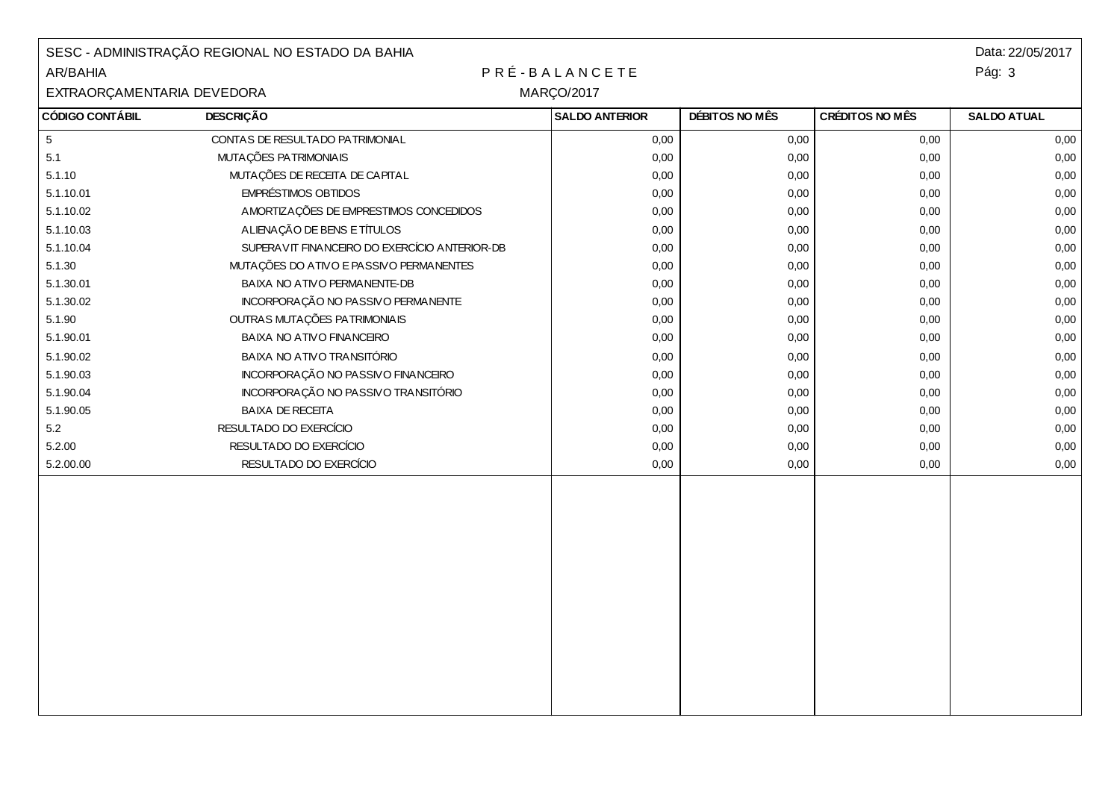| SESC - ADMINISTRAÇÃO REGIONAL NO ESTADO DA BAHIA<br>PRÉ-BALANCETE<br>AR/BAHIA |                                               |                       |                |                 | Data: 22/05/2017<br>Pág: 3 |  |  |
|-------------------------------------------------------------------------------|-----------------------------------------------|-----------------------|----------------|-----------------|----------------------------|--|--|
| EXTRAORÇAMENTARIA DEVEDORA<br><b>MARÇO/2017</b>                               |                                               |                       |                |                 |                            |  |  |
| <b>CÓDIGO CONTÁBIL</b>                                                        | <b>DESCRIÇÃO</b>                              | <b>SALDO ANTERIOR</b> | DÉBITOS NO MÊS | CRÉDITOS NO MÊS | <b>SALDO ATUAL</b>         |  |  |
| $\sqrt{5}$                                                                    | CONTAS DE RESULTADO PATRIMONIAL               | 0,00                  | 0,00           | 0,00            | 0,00                       |  |  |
| 5.1                                                                           | MUTAÇÕES PATRIMONIAIS                         | 0,00                  | 0,00           | 0,00            | 0,00                       |  |  |
| 5.1.10                                                                        | MUTAÇÕES DE RECEITA DE CAPITAL                | 0,00                  | 0,00           | 0,00            | 0,00                       |  |  |
| 5.1.10.01                                                                     | <b>EMPRÉSTIMOS OBTIDOS</b>                    | 0,00                  | 0,00           | 0,00            | 0,00                       |  |  |
| 5.1.10.02                                                                     | AMORTIZAÇÕES DE EMPRESTIMOS CONCEDIDOS        | 0,00                  | 0,00           | 0,00            | 0,00                       |  |  |
| 5.1.10.03                                                                     | ALIENAÇÃO DE BENS E TÍTULOS                   | 0,00                  | 0,00           | 0,00            | 0,00                       |  |  |
| 5.1.10.04                                                                     | SUPERAVIT FINANCEIRO DO EXERCÍCIO ANTERIOR-DB | 0,00                  | 0,00           | 0,00            | 0,00                       |  |  |
| 5.1.30                                                                        | MUTAÇÕES DO ATIVO E PASSIVO PERMANENTES       | 0,00                  | 0,00           | 0,00            | 0,00                       |  |  |
| 5.1.30.01                                                                     | BAIXA NO ATIVO PERMANENTE-DB                  | 0,00                  | 0,00           | 0,00            | 0,00                       |  |  |
| 5.1.30.02                                                                     | INCORPORAÇÃO NO PASSIVO PERMANENTE            | 0,00                  | 0,00           | 0,00            | 0,00                       |  |  |
| 5.1.90                                                                        | OUTRAS MUTAÇÕES PATRIMONIAIS                  | 0,00                  | 0,00           | 0,00            | 0,00                       |  |  |
| 5.1.90.01                                                                     | BAIXA NO ATIVO FINANCEIRO                     | 0,00                  | 0,00           | 0,00            | 0,00                       |  |  |
| 5.1.90.02                                                                     | BAIXA NO ATIVO TRANSITÓRIO                    | 0,00                  | 0,00           | 0,00            | 0,00                       |  |  |
| 5.1.90.03                                                                     | INCORPORAÇÃO NO PASSIVO FINANCEIRO            | 0,00                  | 0,00           | 0,00            | 0,00                       |  |  |
| 5.1.90.04                                                                     | INCORPORAÇÃO NO PASSIVO TRANSITÓRIO           | 0,00                  | 0,00           | 0,00            | 0,00                       |  |  |
| 5.1.90.05                                                                     | <b>BAIXA DE RECEITA</b>                       | 0,00                  | 0,00           | 0,00            | 0,00                       |  |  |
| $5.2\,$                                                                       | RESULTADO DO EXERCÍCIO                        | 0,00                  | 0,00           | 0,00            | 0,00                       |  |  |
| 5.2.00                                                                        | RESULTADO DO EXERCÍCIO                        | 0,00                  | 0,00           | 0,00            | 0,00                       |  |  |
| 5.2.00.00                                                                     | RESULTADO DO EXERCÍCIO                        | 0,00                  | 0,00           | 0,00            | 0,00                       |  |  |
|                                                                               |                                               |                       |                |                 |                            |  |  |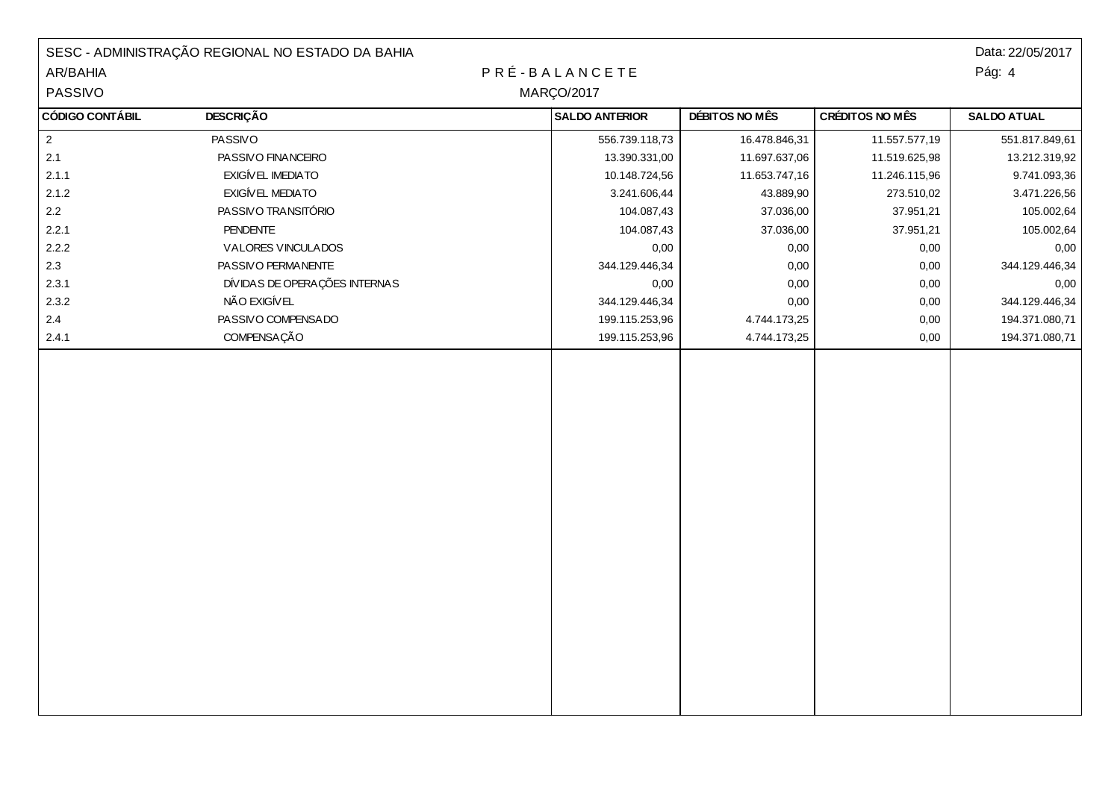|                        | SESC - ADMINISTRAÇÃO REGIONAL NO ESTADO DA BAHIA |  |                       |                |                        | Data: 22/05/2017   |
|------------------------|--------------------------------------------------|--|-----------------------|----------------|------------------------|--------------------|
| AR/BAHIA               |                                                  |  | PRÉ-BALANCETE         |                |                        | Pág: 4             |
| PASSIVO                | <b>MARÇO/2017</b>                                |  |                       |                |                        |                    |
| <b>CÓDIGO CONTÁBIL</b> | <b>DESCRIÇÃO</b>                                 |  | <b>SALDO ANTERIOR</b> | DÉBITOS NO MÊS | <b>CRÉDITOS NO MÊS</b> | <b>SALDO ATUAL</b> |
| $\overline{2}$         | PASSIVO                                          |  | 556.739.118,73        | 16.478.846,31  | 11.557.577,19          | 551.817.849,61     |
| 2.1                    | PASSIVO FINANCEIRO                               |  | 13.390.331,00         | 11.697.637,06  | 11.519.625,98          | 13.212.319,92      |
| 2.1.1                  | EXIGÍVEL IMEDIATO                                |  | 10.148.724,56         | 11.653.747,16  | 11.246.115,96          | 9.741.093,36       |
| 2.1.2                  | EXIGÍVEL MEDIATO                                 |  | 3.241.606,44          | 43.889,90      | 273.510,02             | 3.471.226,56       |
| $2.2\,$                | PASSIVO TRANSITÓRIO                              |  | 104.087,43            | 37.036,00      | 37.951,21              | 105.002,64         |
| 2.2.1                  | <b>PENDENTE</b>                                  |  | 104.087,43            | 37.036,00      | 37.951,21              | 105.002,64         |
| 2.2.2                  | VALORES VINCULADOS                               |  | 0,00                  | 0,00           | 0,00                   | 0,00               |
| 2.3                    | PASSIVO PERMANENTE                               |  | 344.129.446,34        | 0,00           | 0,00                   | 344.129.446,34     |
| 2.3.1                  | DÍVIDAS DE OPERAÇÕES INTERNAS                    |  | 0,00                  | 0,00           | 0,00                   | 0,00               |
| 2.3.2                  | NÃO EXIGÍVEL                                     |  | 344.129.446,34        | 0,00           | 0,00                   | 344.129.446,34     |
| $2.4\,$                | PASSIVO COMPENSADO                               |  | 199.115.253,96        | 4.744.173,25   | 0,00                   | 194.371.080,71     |
| 2.4.1                  | <b>COMPENSAÇÃO</b>                               |  | 199.115.253,96        | 4.744.173,25   | 0,00                   | 194.371.080,71     |
|                        |                                                  |  |                       |                |                        |                    |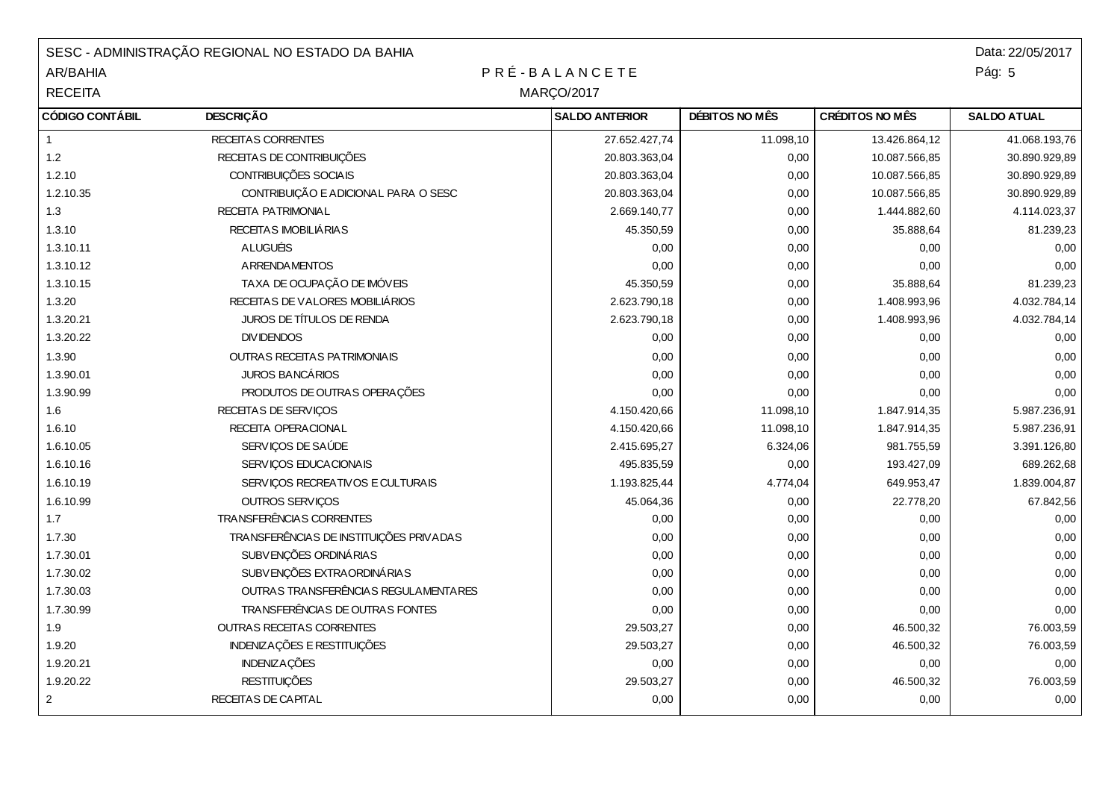| SESC - ADMINISTRAÇÃO REGIONAL NO ESTADO DA BAHIA |                                         |                       |                |                        | Data: 22/05/2017   |  |
|--------------------------------------------------|-----------------------------------------|-----------------------|----------------|------------------------|--------------------|--|
| AR/BAHIA                                         | PRÉ-BALANCETE                           |                       |                |                        |                    |  |
| <b>RECEITA</b>                                   |                                         | <b>MARÇO/2017</b>     |                |                        |                    |  |
| <b>CÓDIGO CONTÁBIL</b>                           | <b>DESCRIÇÃO</b>                        | <b>SALDO ANTERIOR</b> | DÉBITOS NO MÊS | <b>CRÉDITOS NO MÊS</b> | <b>SALDO ATUAL</b> |  |
| $\mathbf{1}$                                     | RECEITAS CORRENTES                      | 27.652.427,74         | 11.098,10      | 13.426.864,12          | 41.068.193,76      |  |
| 1.2                                              | RECEITAS DE CONTRIBUIÇÕES               | 20.803.363,04         | 0,00           | 10.087.566,85          | 30.890.929,89      |  |
| 1.2.10                                           | CONTRIBUIÇÕES SOCIAIS                   | 20.803.363,04         | 0,00           | 10.087.566,85          | 30.890.929,89      |  |
| 1.2.10.35                                        | CONTRIBUIÇÃO E ADICIONAL PARA O SESC    | 20.803.363,04         | 0,00           | 10.087.566,85          | 30.890.929,89      |  |
| 1.3                                              | <b>RECEITA PATRIMONIAL</b>              | 2.669.140,77          | 0,00           | 1.444.882,60           | 4.114.023,37       |  |
| 1.3.10                                           | RECEITAS IMOBILIÁRIAS                   | 45.350,59             | 0,00           | 35.888,64              | 81.239,23          |  |
| 1.3.10.11                                        | <b>ALUGUÉIS</b>                         | 0,00                  | 0,00           | 0,00                   | 0,00               |  |
| 1.3.10.12                                        | <b>ARRENDAMENTOS</b>                    | 0,00                  | 0,00           | 0,00                   | 0,00               |  |
| 1.3.10.15                                        | TAXA DE OCUPAÇÃO DE IMÓVEIS             | 45.350,59             | 0,00           | 35.888,64              | 81.239,23          |  |
| 1.3.20                                           | RECEITAS DE VALORES MOBILIÁRIOS         | 2.623.790,18          | 0,00           | 1.408.993,96           | 4.032.784,14       |  |
| 1.3.20.21                                        | JUROS DE TÍTULOS DE RENDA               | 2.623.790,18          | 0,00           | 1.408.993,96           | 4.032.784,14       |  |
| 1.3.20.22                                        | <b>DIVIDENDOS</b>                       | 0,00                  | 0,00           | 0,00                   | 0,00               |  |
| 1.3.90                                           | <b>OUTRAS RECEITAS PATRIMONIAIS</b>     | 0,00                  | 0,00           | 0,00                   | 0,00               |  |
| 1.3.90.01                                        | <b>JUROS BANCÁRIOS</b>                  | 0,00                  | 0,00           | 0,00                   | 0,00               |  |
| 1.3.90.99                                        | PRODUTOS DE OUTRAS OPERAÇÕES            | 0,00                  | 0,00           | 0,00                   | 0,00               |  |
| 1.6                                              | RECEITAS DE SERVIÇOS                    | 4.150.420,66          | 11.098,10      | 1.847.914,35           | 5.987.236,91       |  |
| 1.6.10                                           | RECEITA OPERACIONAL                     | 4.150.420,66          | 11.098,10      | 1.847.914,35           | 5.987.236,91       |  |
| 1.6.10.05                                        | SERVIÇOS DE SAÚDE                       | 2.415.695,27          | 6.324,06       | 981.755,59             | 3.391.126,80       |  |
| 1.6.10.16                                        | SERVIÇOS EDUCACIONAIS                   | 495.835,59            | 0,00           | 193.427,09             | 689.262,68         |  |
| 1.6.10.19                                        | SERVIÇOS RECREATIVOS E CULTURAIS        | 1.193.825,44          | 4.774,04       | 649.953,47             | 1.839.004,87       |  |
| 1.6.10.99                                        | OUTROS SERVIÇOS                         | 45.064,36             | 0,00           | 22.778,20              | 67.842,56          |  |
| 1.7                                              | TRANSFERÊNCIAS CORRENTES                | 0,00                  | 0,00           | 0,00                   | 0,00               |  |
| 1.7.30                                           | TRANSFERÊNCIAS DE INSTITUIÇÕES PRIVADAS | 0,00                  | 0,00           | 0,00                   | 0,00               |  |
| 1.7.30.01                                        | SUBVENÇÕES ORDINÁRIAS                   | 0,00                  | 0,00           | 0,00                   | 0,00               |  |
| 1.7.30.02                                        | SUBVENÇÕES EXTRA ORDINÁRIAS             | 0,00                  | 0,00           | 0,00                   | 0,00               |  |
| 1.7.30.03                                        | OUTRAS TRANSFERÊNCIAS REGULAMENTARES    | 0,00                  | 0,00           | 0,00                   | 0,00               |  |
| 1.7.30.99                                        | TRANSFERÊNCIAS DE OUTRAS FONTES         | 0,00                  | 0,00           | 0,00                   | 0,00               |  |
| 1.9                                              | <b>OUTRAS RECEITAS CORRENTES</b>        | 29.503,27             | 0,00           | 46.500,32              | 76.003,59          |  |
| 1.9.20                                           | <b>INDENIZAÇÕES E RESTITUIÇÕES</b>      | 29.503,27             | 0,00           | 46.500,32              | 76.003,59          |  |
| 1.9.20.21                                        | <b>INDENIZAÇÕES</b>                     | 0,00                  | 0,00           | 0,00                   | 0,00               |  |
| 1.9.20.22                                        | <b>RESTITUIÇÕES</b>                     | 29.503,27             | 0,00           | 46.500,32              | 76.003,59          |  |
| $\overline{2}$                                   | RECEITAS DE CAPITAL                     | 0,00                  | 0,00           | 0,00                   | 0,00               |  |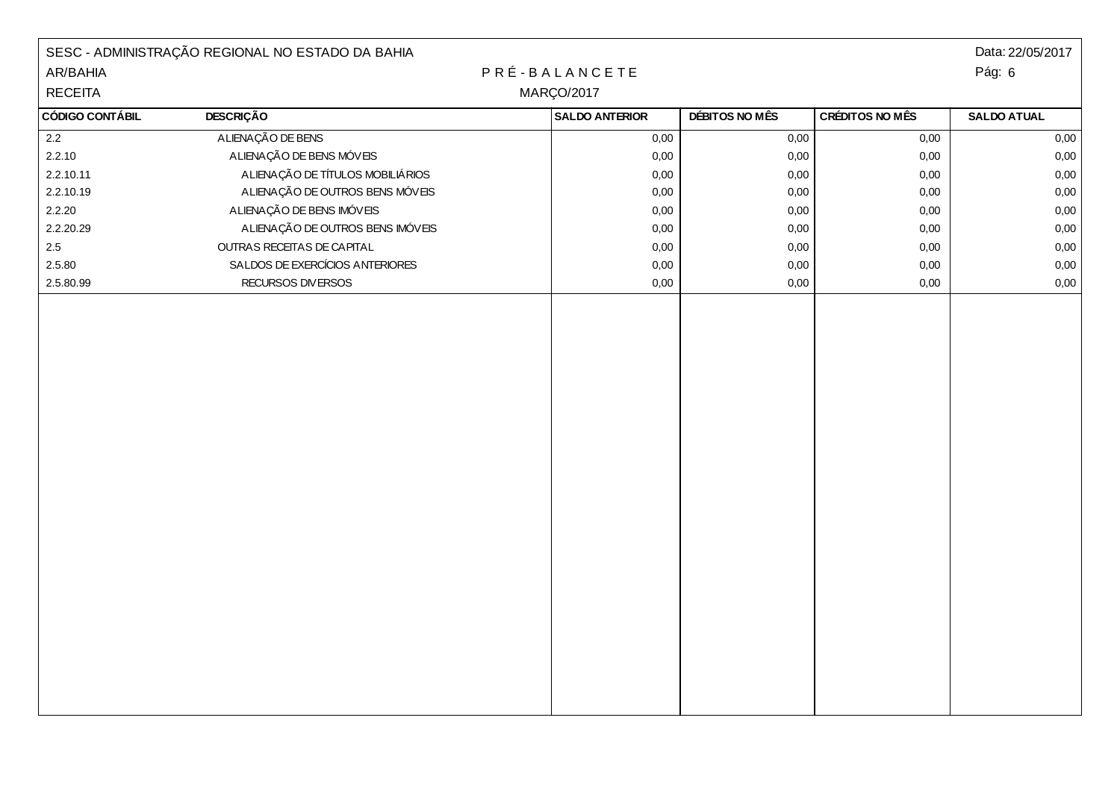|                        | SESC - ADMINISTRAÇÃO REGIONAL NO ESTADO DA BAHIA |                       |                |                 | Data: 22/05/2017   |
|------------------------|--------------------------------------------------|-----------------------|----------------|-----------------|--------------------|
| AR/BAHIA               |                                                  | PRÉ-BALANCETE         |                |                 | Pág: 6             |
| <b>RECEITA</b>         | <b>MARÇO/2017</b>                                |                       |                |                 |                    |
| <b>CÓDIGO CONTÁBIL</b> | <b>DESCRIÇÃO</b>                                 | <b>SALDO ANTERIOR</b> | DÉBITOS NO MÊS | CRÉDITOS NO MÊS | <b>SALDO ATUAL</b> |
| 2.2                    | ALIENAÇÃO DE BENS                                | 0,00                  | 0,00           | 0,00            | 0,00               |
| 2.2.10                 | A LIENAÇÃO DE BENS MÓVEIS                        | 0,00                  | 0,00           | 0,00            | 0,00               |
| 2.2.10.11              | ALIENAÇÃO DE TÍTULOS MOBILIÁRIOS                 | 0,00                  | 0,00           | 0,00            | 0,00               |
| 2.2.10.19              | A LIENAÇÃO DE OUTROS BENS MÓVEIS                 | 0,00                  | 0,00           | 0,00            | 0,00               |
| 2.2.20                 | A LIENAÇÃO DE BENS IMÓVEIS                       | 0,00                  | 0,00           | 0,00            | 0,00               |
| 2.2.20.29              | ALIENAÇÃO DE OUTROS BENS IMÓVEIS                 | 0,00                  | 0,00           | 0,00            | 0,00               |
| $2.5\,$                | OUTRAS RECEITAS DE CAPITAL                       | 0,00                  | 0,00           | 0,00            | 0,00               |
| 2.5.80                 | SALDOS DE EXERCÍCIOS ANTERIORES                  | 0,00                  | 0,00           | 0,00            | 0,00               |
| 2.5.80.99              | RECURSOS DIVERSOS                                | 0,00                  | 0,00           | 0,00            | 0,00               |
|                        |                                                  |                       |                |                 |                    |